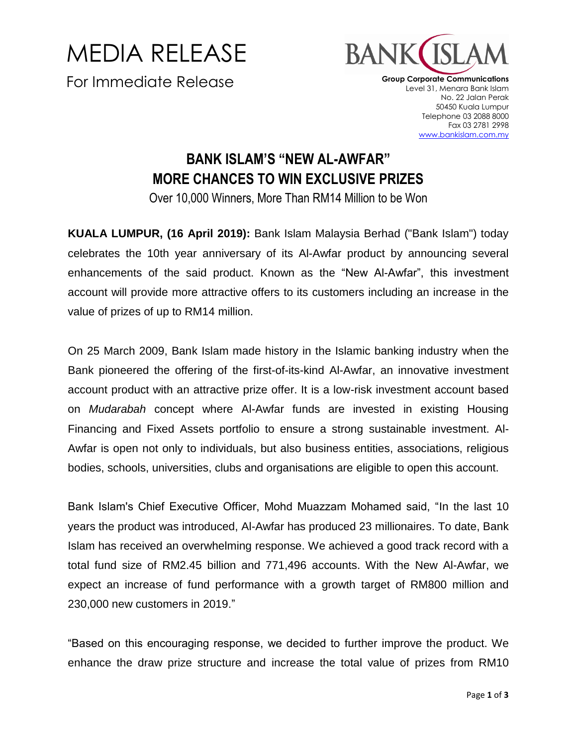MEDIA RELEASE For Immediate Release



**Group Corporate Communications** Level 31, Menara Bank Islam No. 22 Jalan Perak 50450 Kuala Lumpur Telephone 03 2088 8000 Fax 03 2781 2998 www.bankislam.com.my

## **BANK ISLAM'S "NEW AL-AWFAR" MORE CHANCES TO WIN EXCLUSIVE PRIZES**

Over 10,000 Winners, More Than RM14 Million to be Won

**KUALA LUMPUR, (16 April 2019):** Bank Islam Malaysia Berhad ("Bank Islam") today celebrates the 10th year anniversary of its Al-Awfar product by announcing several enhancements of the said product. Known as the "New Al-Awfar", this investment account will provide more attractive offers to its customers including an increase in the value of prizes of up to RM14 million.

On 25 March 2009, Bank Islam made history in the Islamic banking industry when the Bank pioneered the offering of the first-of-its-kind Al-Awfar, an innovative investment account product with an attractive prize offer. It is a low-risk investment account based on *Mudarabah* concept where Al-Awfar funds are invested in existing Housing Financing and Fixed Assets portfolio to ensure a strong sustainable investment. Al-Awfar is open not only to individuals, but also business entities, associations, religious bodies, schools, universities, clubs and organisations are eligible to open this account.

Bank Islam's Chief Executive Officer, Mohd Muazzam Mohamed said, "In the last 10 years the product was introduced, Al-Awfar has produced 23 millionaires. To date, Bank Islam has received an overwhelming response. We achieved a good track record with a total fund size of RM2.45 billion and 771,496 accounts. With the New Al-Awfar, we expect an increase of fund performance with a growth target of RM800 million and 230,000 new customers in 2019."

"Based on this encouraging response, we decided to further improve the product. We enhance the draw prize structure and increase the total value of prizes from RM10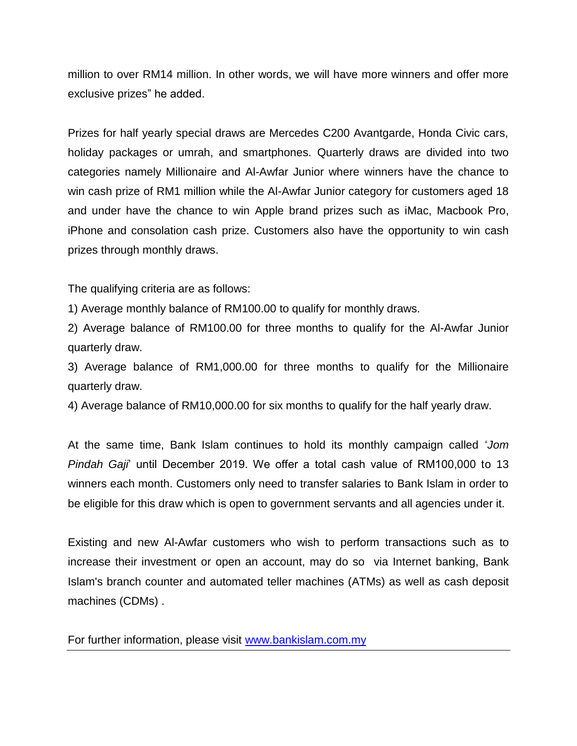million to over RM14 million. In other words, we will have more winners and offer more exclusive prizes" he added.

Prizes for half yearly special draws are Mercedes C200 Avantgarde, Honda Civic cars, holiday packages or umrah, and smartphones. Quarterly draws are divided into two categories namely Millionaire and Al-Awfar Junior where winners have the chance to win cash prize of RM1 million while the Al-Awfar Junior category for customers aged 18 and under have the chance to win Apple brand prizes such as iMac, Macbook Pro, iPhone and consolation cash prize. Customers also have the opportunity to win cash prizes through monthly draws.

The qualifying criteria are as follows:

1) Average monthly balance of RM100.00 to qualify for monthly draws.

2) Average balance of RM100.00 for three months to qualify for the Al-Awfar Junior quarterly draw.

3) Average balance of RM1,000.00 for three months to qualify for the Millionaire quarterly draw.

4) Average balance of RM10,000.00 for six months to qualify for the half yearly draw.

At the same time, Bank Islam continues to hold its monthly campaign called '*Jom Pindah Gaji*' until December 2019. We offer a total cash value of RM100,000 to 13 winners each month. Customers only need to transfer salaries to Bank Islam in order to be eligible for this draw which is open to government servants and all agencies under it.

Existing and new Al-Awfar customers who wish to perform transactions such as to increase their investment or open an account, may do so via Internet banking, Bank Islam's branch counter and automated teller machines (ATMs) as well as cash deposit machines (CDMs) .

For further information, please visit [www.bankislam.com.my](http://www.bankislam.com.my/)